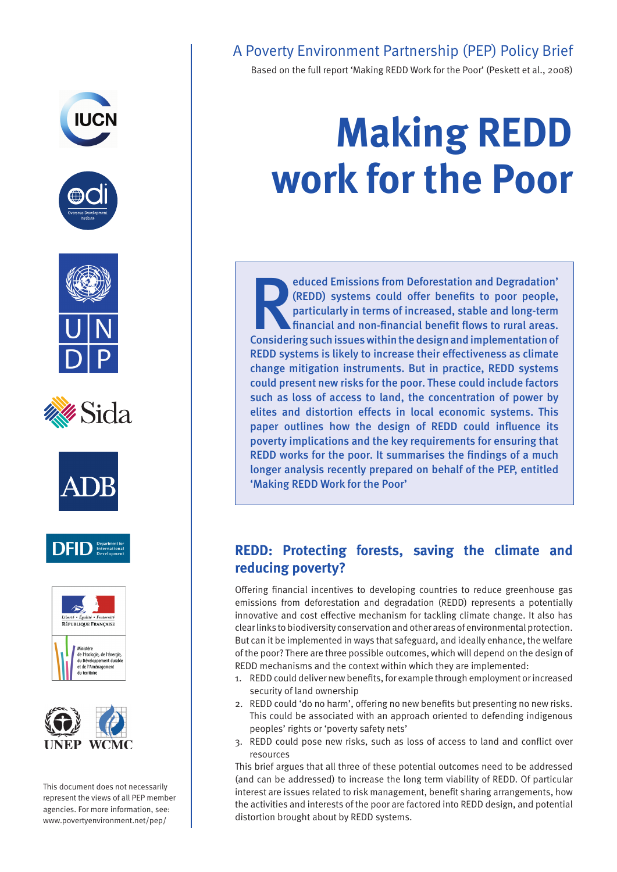















This document does not necessarily represent the views of all PEP member agencies. For more information, see: www.povertyenvironment.net/pep/

# A Poverty Environment Partnership (PEP) Policy Brief

Based on the full report 'Making REDD Work for the Poor' (Peskett et al., 2008)

# **Making REDD work for the Poor**

educed Emissions from Deforestation and Degradation'<br>(REDD) systems could offer benefits to poor people,<br>particularly in terms of increased, stable and long-term<br>financial and non-financial benefit flows to rural areas.<br>Co educed Emissions from Deforestation and Degradation' (REDD) systems could offer benefits to poor people, particularly in terms of increased, stable and long-term financial and non-financial benefit flows to rural areas. REDD systems is likely to increase their effectiveness as climate change mitigation instruments. But in practice, REDD systems could present new risks for the poor. These could include factors such as loss of access to land, the concentration of power by elites and distortion effects in local economic systems. This paper outlines how the design of REDD could influence its poverty implications and the key requirements for ensuring that REDD works for the poor. It summarises the findings of a much longer analysis recently prepared on behalf of the PEP, entitled 'Making REDD Work for the Poor'

# **REDD: Protecting forests, saving the climate and reducing poverty?**

Offering financial incentives to developing countries to reduce greenhouse gas emissions from deforestation and degradation (REDD) represents a potentially innovative and cost effective mechanism for tackling climate change. It also has clear links to biodiversity conservation and other areas of environmental protection. But can it be implemented in ways that safeguard, and ideally enhance, the welfare of the poor? There are three possible outcomes, which will depend on the design of REDD mechanisms and the context within which they are implemented:

- 1. REDD could deliver new benefits, for example through employment or increased security of land ownership
- 2. REDD could 'do no harm', offering no new benefits but presenting no new risks. This could be associated with an approach oriented to defending indigenous peoples' rights or 'poverty safety nets'
- 3. REDD could pose new risks, such as loss of access to land and conflict over resources

This brief argues that all three of these potential outcomes need to be addressed (and can be addressed) to increase the long term viability of REDD. Of particular interest are issues related to risk management, benefit sharing arrangements, how the activities and interests of the poor are factored into REDD design, and potential distortion brought about by REDD systems.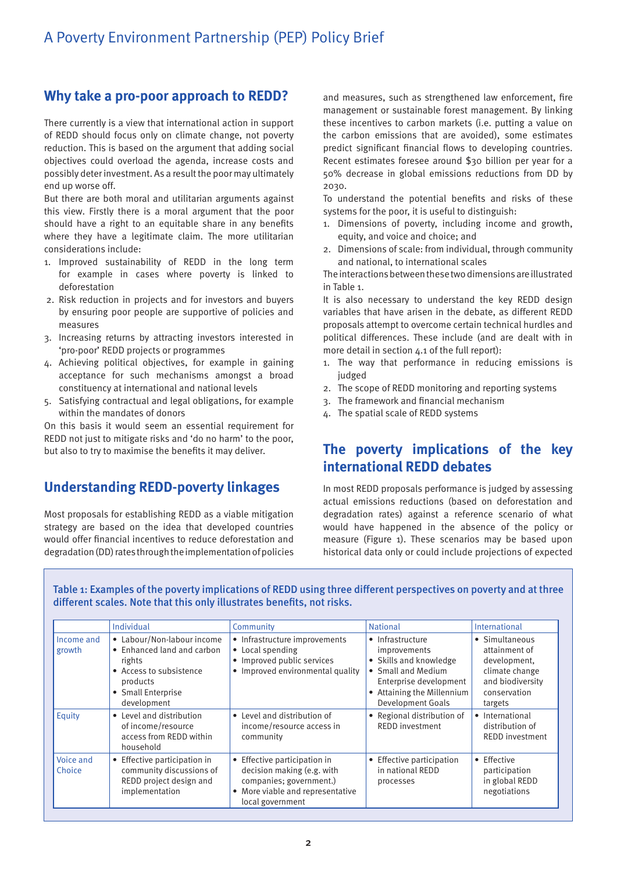## **Why take a pro-poor approach to REDD?**

There currently is a view that international action in support of REDD should focus only on climate change, not poverty reduction. This is based on the argument that adding social objectives could overload the agenda, increase costs and possibly deter investment. As a result the poor may ultimately end up worse off.

But there are both moral and utilitarian arguments against this view. Firstly there is a moral argument that the poor should have a right to an equitable share in any benefits where they have a legitimate claim. The more utilitarian considerations include:

- 1. Improved sustainability of REDD in the long term for example in cases where poverty is linked to deforestation
- 2. Risk reduction in projects and for investors and buyers by ensuring poor people are supportive of policies and measures
- 3. Increasing returns by attracting investors interested in 'pro-poor' REDD projects or programmes
- 4. Achieving political objectives, for example in gaining acceptance for such mechanisms amongst a broad constituency at international and national levels
- 5. Satisfying contractual and legal obligations, for example within the mandates of donors

On this basis it would seem an essential requirement for REDD not just to mitigate risks and 'do no harm' to the poor, but also to try to maximise the benefits it may deliver.

## **Understanding REDD-poverty linkages**

Most proposals for establishing REDD as a viable mitigation strategy are based on the idea that developed countries would offer financial incentives to reduce deforestation and degradation (DD) rates through the implementation of policies and measures, such as strengthened law enforcement, fire management or sustainable forest management. By linking these incentives to carbon markets (i.e. putting a value on the carbon emissions that are avoided), some estimates predict significant financial flows to developing countries. Recent estimates foresee around \$30 billion per year for a 50% decrease in global emissions reductions from DD by 2030.

To understand the potential benefits and risks of these systems for the poor, it is useful to distinguish:

- 1. Dimensions of poverty, including income and growth, equity, and voice and choice; and
- 2. Dimensions of scale: from individual, through community and national, to international scales

The interactions between these two dimensions are illustrated in Table 1.

It is also necessary to understand the key REDD design variables that have arisen in the debate, as different REDD proposals attempt to overcome certain technical hurdles and political differences. These include (and are dealt with in more detail in section 4.1 of the full report):

- 1. The way that performance in reducing emissions is judged
- 2. The scope of REDD monitoring and reporting systems
- 3. The framework and financial mechanism
- 4. The spatial scale of REDD systems

# **The poverty implications of the key international REDD debates**

In most REDD proposals performance is judged by assessing actual emissions reductions (based on deforestation and degradation rates) against a reference scenario of what would have happened in the absence of the policy or measure (Figure 1). These scenarios may be based upon historical data only or could include projections of expected

Table 1: Examples of the poverty implications of REDD using three different perspectives on poverty and at three different scales. Note that this only illustrates benefits, not risks.

|                      | Individual                                                                                                                                     | Community                                                                                                                                     | <b>National</b>                                                                                                                                                      | International                                                                                                    |
|----------------------|------------------------------------------------------------------------------------------------------------------------------------------------|-----------------------------------------------------------------------------------------------------------------------------------------------|----------------------------------------------------------------------------------------------------------------------------------------------------------------------|------------------------------------------------------------------------------------------------------------------|
| Income and<br>growth | • Labour/Non-labour income<br>• Enhanced land and carbon<br>rights<br>• Access to subsistence<br>products<br>• Small Enterprise<br>development | • Infrastructure improvements<br>• Local spending<br>• Improved public services<br>• Improved environmental quality                           | • Infrastructure<br>improvements<br>• Skills and knowledge<br>• Small and Medium<br>Enterprise development<br>• Attaining the Millennium<br><b>Development Goals</b> | • Simultaneous<br>attainment of<br>development.<br>climate change<br>and biodiversity<br>conservation<br>targets |
| Equity               | • Level and distribution<br>of income/resource<br>access from REDD within<br>household                                                         | • Level and distribution of<br>income/resource access in<br>community                                                                         | • Regional distribution of<br><b>REDD investment</b>                                                                                                                 | • International<br>distribution of<br><b>REDD investment</b>                                                     |
| Voice and<br>Choice  | • Effective participation in<br>community discussions of<br>REDD project design and<br>implementation                                          | • Effective participation in<br>decision making (e.g. with<br>companies; government.)<br>• More viable and representative<br>local government | • Effective participation<br>in national REDD<br>processes                                                                                                           | • Effective<br>participation<br>in global REDD<br>negotiations                                                   |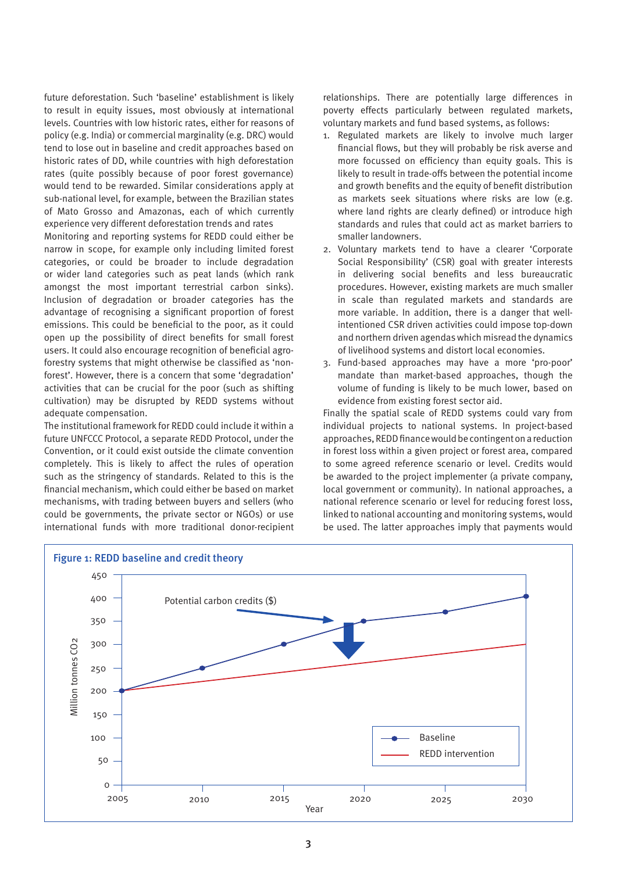future deforestation. Such 'baseline' establishment is likely to result in equity issues, most obviously at international levels. Countries with low historic rates, either for reasons of policy (e.g. India) or commercial marginality (e.g. DRC) would tend to lose out in baseline and credit approaches based on historic rates of DD, while countries with high deforestation rates (quite possibly because of poor forest governance) would tend to be rewarded. Similar considerations apply at sub-national level, for example, between the Brazilian states of Mato Grosso and Amazonas, each of which currently experience very different deforestation trends and rates

Monitoring and reporting systems for REDD could either be narrow in scope, for example only including limited forest categories, or could be broader to include degradation or wider land categories such as peat lands (which rank amongst the most important terrestrial carbon sinks). Inclusion of degradation or broader categories has the advantage of recognising a significant proportion of forest emissions. This could be beneficial to the poor, as it could open up the possibility of direct benefits for small forest users. It could also encourage recognition of beneficial agroforestry systems that might otherwise be classified as 'nonforest'. However, there is a concern that some 'degradation' activities that can be crucial for the poor (such as shifting cultivation) may be disrupted by REDD systems without adequate compensation.

The institutional framework for REDD could include it within a future UNFCCC Protocol, a separate REDD Protocol, under the Convention, or it could exist outside the climate convention completely. This is likely to affect the rules of operation such as the stringency of standards. Related to this is the financial mechanism, which could either be based on market mechanisms, with trading between buyers and sellers (who could be governments, the private sector or NGOs) or use international funds with more traditional donor-recipient relationships. There are potentially large differences in poverty effects particularly between regulated markets, voluntary markets and fund based systems, as follows:

- 1. Regulated markets are likely to involve much larger financial flows, but they will probably be risk averse and more focussed on efficiency than equity goals. This is likely to result in trade-offs between the potential income and growth benefits and the equity of benefit distribution as markets seek situations where risks are low (e.g. where land rights are clearly defined) or introduce high standards and rules that could act as market barriers to smaller landowners.
- 2. Voluntary markets tend to have a clearer 'Corporate Social Responsibility' (CSR) goal with greater interests in delivering social benefits and less bureaucratic procedures. However, existing markets are much smaller in scale than regulated markets and standards are more variable. In addition, there is a danger that wellintentioned CSR driven activities could impose top-down and northern driven agendas which misread the dynamics of livelihood systems and distort local economies.
- 3. Fund-based approaches may have a more 'pro-poor' mandate than market-based approaches, though the volume of funding is likely to be much lower, based on evidence from existing forest sector aid.

Finally the spatial scale of REDD systems could vary from individual projects to national systems. In project-based approaches, REDD finance would be contingent on a reduction in forest loss within a given project or forest area, compared to some agreed reference scenario or level. Credits would be awarded to the project implementer (a private company, local government or community). In national approaches, a national reference scenario or level for reducing forest loss, linked to national accounting and monitoring systems, would be used. The latter approaches imply that payments would

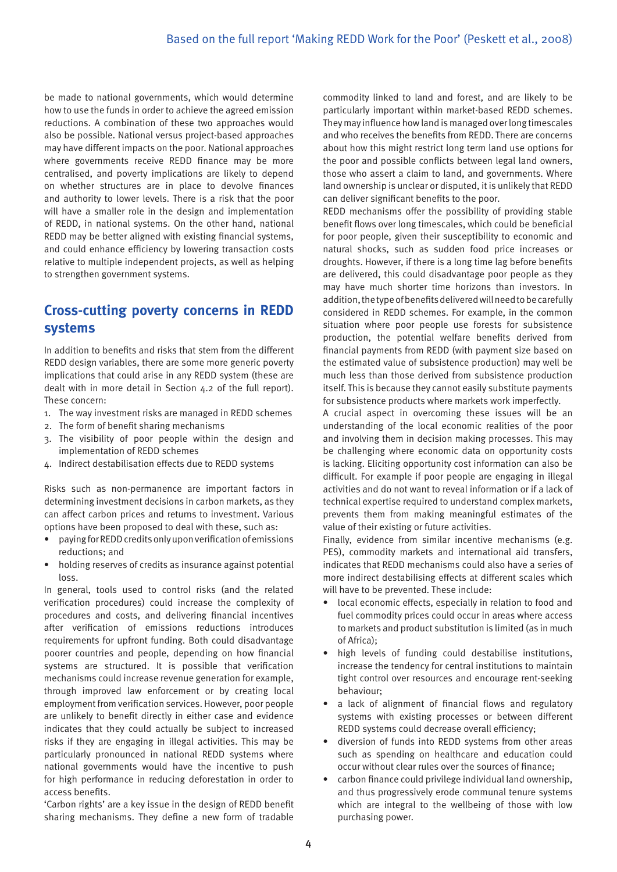be made to national governments, which would determine how to use the funds in order to achieve the agreed emission reductions. A combination of these two approaches would also be possible. National versus project-based approaches may have different impacts on the poor. National approaches where governments receive REDD finance may be more centralised, and poverty implications are likely to depend on whether structures are in place to devolve finances and authority to lower levels. There is a risk that the poor will have a smaller role in the design and implementation of REDD, in national systems. On the other hand, national REDD may be better aligned with existing financial systems, and could enhance efficiency by lowering transaction costs relative to multiple independent projects, as well as helping to strengthen government systems.

## **Cross-cutting poverty concerns in REDD systems**

In addition to benefits and risks that stem from the different REDD design variables, there are some more generic poverty implications that could arise in any REDD system (these are dealt with in more detail in Section 4.2 of the full report). These concern:

- 1. The way investment risks are managed in REDD schemes
- 2. The form of benefit sharing mechanisms
- 3. The visibility of poor people within the design and implementation of REDD schemes
- 4. Indirect destabilisation effects due to REDD systems

Risks such as non-permanence are important factors in determining investment decisions in carbon markets, as they can affect carbon prices and returns to investment. Various options have been proposed to deal with these, such as:

- paying for REDD credits only upon verification of emissions reductions; and
- holding reserves of credits as insurance against potential loss.

In general, tools used to control risks (and the related verification procedures) could increase the complexity of procedures and costs, and delivering financial incentives after verification of emissions reductions introduces requirements for upfront funding. Both could disadvantage poorer countries and people, depending on how financial systems are structured. It is possible that verification mechanisms could increase revenue generation for example, through improved law enforcement or by creating local employment from verification services. However, poor people are unlikely to benefit directly in either case and evidence indicates that they could actually be subject to increased risks if they are engaging in illegal activities. This may be particularly pronounced in national REDD systems where national governments would have the incentive to push for high performance in reducing deforestation in order to access benefits.

'Carbon rights' are a key issue in the design of REDD benefit sharing mechanisms. They define a new form of tradable

commodity linked to land and forest, and are likely to be particularly important within market-based REDD schemes. They may influence how land is managed over long timescales and who receives the benefits from REDD. There are concerns about how this might restrict long term land use options for the poor and possible conflicts between legal land owners, those who assert a claim to land, and governments. Where land ownership is unclear or disputed, it is unlikely that REDD can deliver significant benefits to the poor.

REDD mechanisms offer the possibility of providing stable benefit flows over long timescales, which could be beneficial for poor people, given their susceptibility to economic and natural shocks, such as sudden food price increases or droughts. However, if there is a long time lag before benefits are delivered, this could disadvantage poor people as they may have much shorter time horizons than investors. In addition, the type of benefits delivered will need to be carefully considered in REDD schemes. For example, in the common situation where poor people use forests for subsistence production, the potential welfare benefits derived from financial payments from REDD (with payment size based on the estimated value of subsistence production) may well be much less than those derived from subsistence production itself. This is because they cannot easily substitute payments for subsistence products where markets work imperfectly.

A crucial aspect in overcoming these issues will be an understanding of the local economic realities of the poor and involving them in decision making processes. This may be challenging where economic data on opportunity costs is lacking. Eliciting opportunity cost information can also be difficult. For example if poor people are engaging in illegal activities and do not want to reveal information or if a lack of technical expertise required to understand complex markets, prevents them from making meaningful estimates of the value of their existing or future activities.

Finally, evidence from similar incentive mechanisms (e.g. PES), commodity markets and international aid transfers, indicates that REDD mechanisms could also have a series of more indirect destabilising effects at different scales which will have to be prevented. These include:

- local economic effects, especially in relation to food and fuel commodity prices could occur in areas where access to markets and product substitution is limited (as in much of Africa);
- • high levels of funding could destabilise institutions, increase the tendency for central institutions to maintain tight control over resources and encourage rent-seeking behaviour;
- a lack of alignment of financial flows and regulatory systems with existing processes or between different REDD systems could decrease overall efficiency;
- • diversion of funds into REDD systems from other areas such as spending on healthcare and education could occur without clear rules over the sources of finance;
- carbon finance could privilege individual land ownership, and thus progressively erode communal tenure systems which are integral to the wellbeing of those with low purchasing power.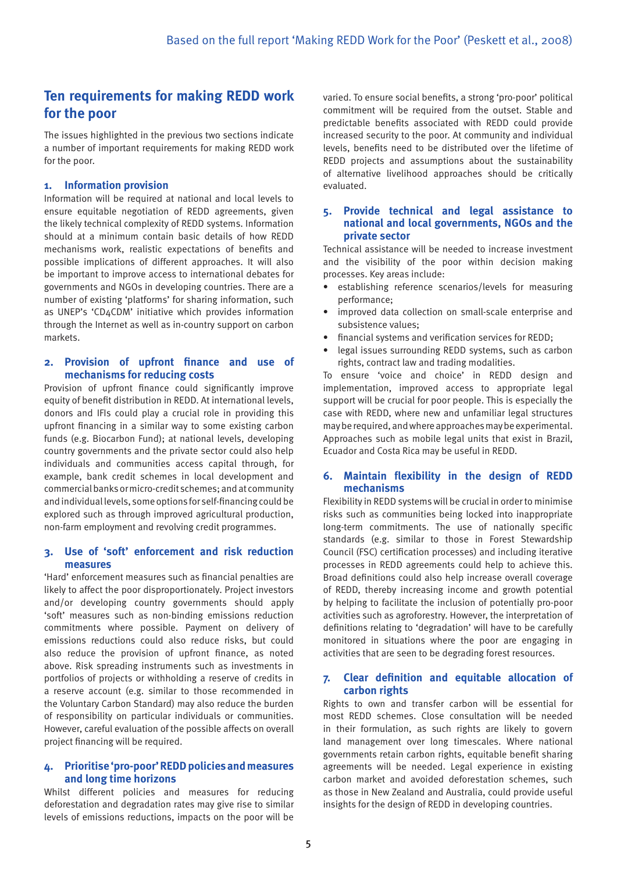## **Ten requirements for making REDD work for the poor**

The issues highlighted in the previous two sections indicate a number of important requirements for making REDD work for the poor.

#### **1. Information provision**

Information will be required at national and local levels to ensure equitable negotiation of REDD agreements, given the likely technical complexity of REDD systems. Information should at a minimum contain basic details of how REDD mechanisms work, realistic expectations of benefits and possible implications of different approaches. It will also be important to improve access to international debates for governments and NGOs in developing countries. There are a number of existing 'platforms' for sharing information, such as UNEP's 'CD4CDM' initiative which provides information through the Internet as well as in-country support on carbon markets.

#### **2. Provision of upfront finance and use of mechanisms for reducing costs**

Provision of upfront finance could significantly improve equity of benefit distribution in REDD. At international levels, donors and IFIs could play a crucial role in providing this upfront financing in a similar way to some existing carbon funds (e.g. Biocarbon Fund); at national levels, developing country governments and the private sector could also help individuals and communities access capital through, for example, bank credit schemes in local development and commercial banks or micro-credit schemes; and at community and individual levels, some options for self-financing could be explored such as through improved agricultural production, non-farm employment and revolving credit programmes.

#### **3. Use of 'soft' enforcement and risk reduction measures**

'Hard' enforcement measures such as financial penalties are likely to affect the poor disproportionately. Project investors and/or developing country governments should apply 'soft' measures such as non-binding emissions reduction commitments where possible. Payment on delivery of emissions reductions could also reduce risks, but could also reduce the provision of upfront finance, as noted above. Risk spreading instruments such as investments in portfolios of projects or withholding a reserve of credits in a reserve account (e.g. similar to those recommended in the Voluntary Carbon Standard) may also reduce the burden of responsibility on particular individuals or communities. However, careful evaluation of the possible affects on overall project financing will be required.

#### **4. Prioritise 'pro-poor' REDD policies and measures and long time horizons**

Whilst different policies and measures for reducing deforestation and degradation rates may give rise to similar levels of emissions reductions, impacts on the poor will be

varied. To ensure social benefits, a strong 'pro-poor' political commitment will be required from the outset. Stable and predictable benefits associated with REDD could provide increased security to the poor. At community and individual levels, benefits need to be distributed over the lifetime of REDD projects and assumptions about the sustainability of alternative livelihood approaches should be critically evaluated.

#### **5. Provide technical and legal assistance to national and local governments, NGOs and the private sector**

Technical assistance will be needed to increase investment and the visibility of the poor within decision making processes. Key areas include:

- establishing reference scenarios/levels for measuring performance;
- improved data collection on small-scale enterprise and subsistence values;
- financial systems and verification services for REDD:
- legal issues surrounding REDD systems, such as carbon rights, contract law and trading modalities.

To ensure 'voice and choice' in REDD design and implementation, improved access to appropriate legal support will be crucial for poor people. This is especially the case with REDD, where new and unfamiliar legal structures may be required, and where approaches may be experimental. Approaches such as mobile legal units that exist in Brazil, Ecuador and Costa Rica may be useful in REDD.

#### **6. Maintain flexibility in the design of REDD mechanisms**

Flexibility in REDD systems will be crucial in order to minimise risks such as communities being locked into inappropriate long-term commitments. The use of nationally specific standards (e.g. similar to those in Forest Stewardship Council (FSC) certification processes) and including iterative processes in REDD agreements could help to achieve this. Broad definitions could also help increase overall coverage of REDD, thereby increasing income and growth potential by helping to facilitate the inclusion of potentially pro-poor activities such as agroforestry. However, the interpretation of definitions relating to 'degradation' will have to be carefully monitored in situations where the poor are engaging in activities that are seen to be degrading forest resources.

#### **7. Clear definition and equitable allocation of carbon rights**

Rights to own and transfer carbon will be essential for most REDD schemes. Close consultation will be needed in their formulation, as such rights are likely to govern land management over long timescales. Where national governments retain carbon rights, equitable benefit sharing agreements will be needed. Legal experience in existing carbon market and avoided deforestation schemes, such as those in New Zealand and Australia, could provide useful insights for the design of REDD in developing countries.